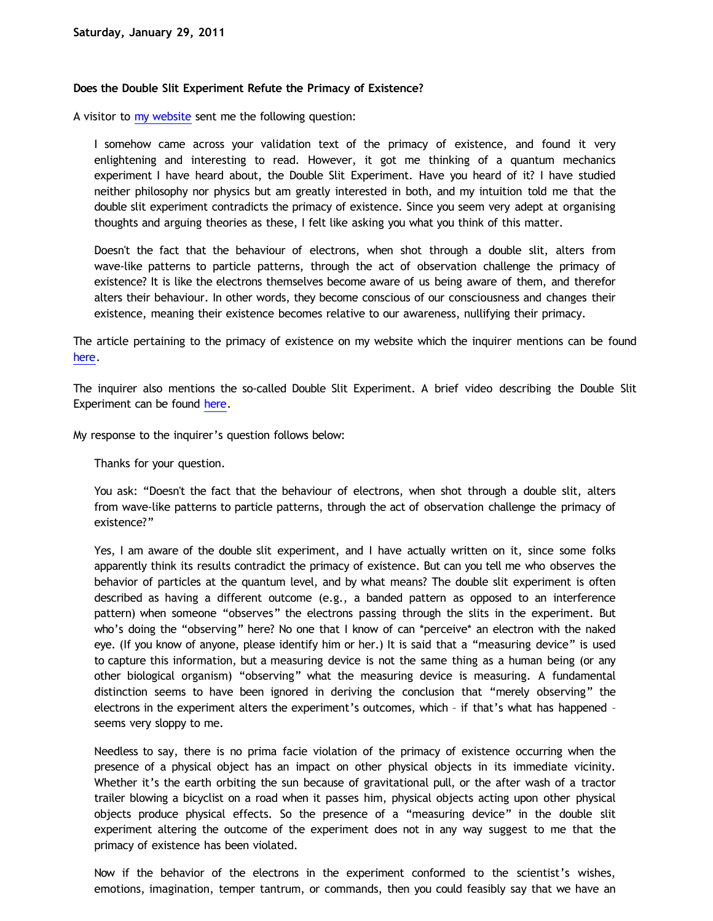## **Does the Double Slit Experiment Refute the Primacy of Existence?**

A visitor to [my website](http://www.katholon.com/) sent me the following question:

I somehow came across your validation text of the primacy of existence, and found it very enlightening and interesting to read. However, it got me thinking of a quantum mechanics experiment I have heard about, the Double Slit Experiment. Have you heard of it? I have studied neither philosophy nor physics but am greatly interested in both, and my intuition told me that the double slit experiment contradicts the primacy of existence. Since you seem very adept at organising thoughts and arguing theories as these, I felt like asking you what you think of this matter.

Doesn't the fact that the behaviour of electrons, when shot through a double slit, alters from wave-like patterns to particle patterns, through the act of observation challenge the primacy of existence? It is like the electrons themselves become aware of us being aware of them, and therefor alters their behaviour. In other words, they become conscious of our consciousness and changes their existence, meaning their existence becomes relative to our awareness, nullifying their primacy.

The article pertaining to the primacy of existence on my website which the inquirer mentions can be found [here](http://katholon.com/poe.htm).

The inquirer also mentions the so-called Double Slit Experiment. A brief video describing the Double Slit Experiment can be found [here](http://www.youtube.com/watch?v=DfPeprQ7oGc).

My response to the inquirer's question follows below:

Thanks for your question.

You ask: "Doesn't the fact that the behaviour of electrons, when shot through a double slit, alters from wave-like patterns to particle patterns, through the act of observation challenge the primacy of existence?"

Yes, I am aware of the double slit experiment, and I have actually written on it, since some folks apparently think its results contradict the primacy of existence. But can you tell me who observes the behavior of particles at the quantum level, and by what means? The double slit experiment is often described as having a different outcome (e.g., a banded pattern as opposed to an interference pattern) when someone "observes" the electrons passing through the slits in the experiment. But who's doing the "observing" here? No one that I know of can \*perceive\* an electron with the naked eye. (If you know of anyone, please identify him or her.) It is said that a "measuring device" is used to capture this information, but a measuring device is not the same thing as a human being (or any other biological organism) "observing" what the measuring device is measuring. A fundamental distinction seems to have been ignored in deriving the conclusion that "merely observing" the electrons in the experiment alters the experiment's outcomes, which – if that's what has happened – seems very sloppy to me.

Needless to say, there is no prima facie violation of the primacy of existence occurring when the presence of a physical object has an impact on other physical objects in its immediate vicinity. Whether it's the earth orbiting the sun because of gravitational pull, or the after wash of a tractor trailer blowing a bicyclist on a road when it passes him, physical objects acting upon other physical objects produce physical effects. So the presence of a "measuring device" in the double slit experiment altering the outcome of the experiment does not in any way suggest to me that the primacy of existence has been violated.

Now if the behavior of the electrons in the experiment conformed to the scientist's wishes, emotions, imagination, temper tantrum, or commands, then you could feasibly say that we have an